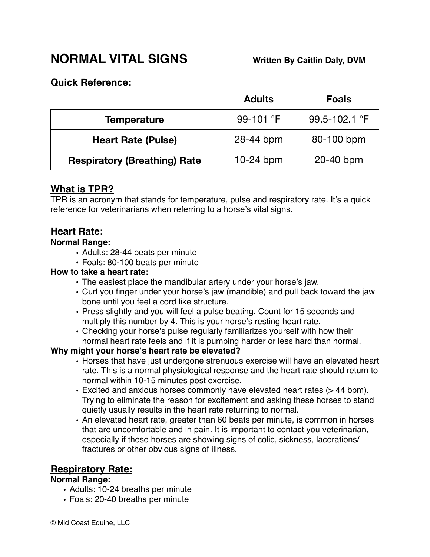# **NORMAL VITAL SIGNS! ! ! Written By Caitlin Daly, DVM**

### **Quick Reference:**

|                                     | <b>Adults</b>      | <b>Foals</b>  |
|-------------------------------------|--------------------|---------------|
| <b>Temperature</b>                  | 99-101 $\degree$ F | 99.5-102.1 °F |
| <b>Heart Rate (Pulse)</b>           | 28-44 bpm          | 80-100 bpm    |
| <b>Respiratory (Breathing) Rate</b> | $10-24$ bpm        | 20-40 bpm     |

# **What is TPR?**

TPR is an acronym that stands for temperature, pulse and respiratory rate. It's a quick reference for veterinarians when referring to a horse's vital signs.

# **Heart Rate:**

### **Normal Range:**

- Adults: 28-44 beats per minute
- Foals: 80-100 beats per minute

### **How to take a heart rate:**

- The easiest place the mandibular artery under your horse's jaw.
- Curl you finger under your horse's jaw (mandible) and pull back toward the jaw bone until you feel a cord like structure.
- Press slightly and you will feel a pulse beating. Count for 15 seconds and multiply this number by 4. This is your horse's resting heart rate.
- Checking your horse's pulse regularly familiarizes yourself with how their normal heart rate feels and if it is pumping harder or less hard than normal.

### **Why might your horse's heart rate be elevated?**

- Horses that have just undergone strenuous exercise will have an elevated heart rate. This is a normal physiological response and the heart rate should return to normal within 10-15 minutes post exercise.
- Excited and anxious horses commonly have elevated heart rates (> 44 bpm). Trying to eliminate the reason for excitement and asking these horses to stand quietly usually results in the heart rate returning to normal.
- An elevated heart rate, greater than 60 beats per minute, is common in horses that are uncomfortable and in pain. It is important to contact you veterinarian, especially if these horses are showing signs of colic, sickness, lacerations/ fractures or other obvious signs of illness.

# **Respiratory Rate:**

#### **Normal Range:**

- Adults: 10-24 breaths per minute
- Foals: 20-40 breaths per minute